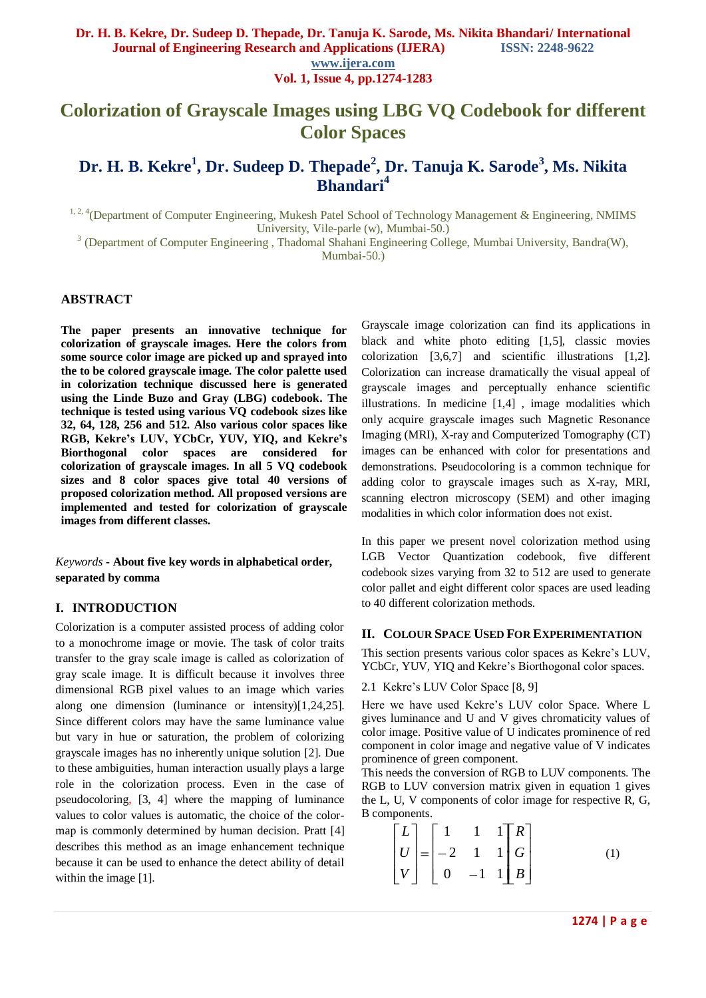**Vol. 1, Issue 4, pp.1274-1283**

# **Colorization of Grayscale Images using LBG VQ Codebook for different Color Spaces**

# **Dr. H. B. Kekre<sup>1</sup> , Dr. Sudeep D. Thepade<sup>2</sup> , Dr. Tanuja K. Sarode<sup>3</sup> , Ms. Nikita Bhandari<sup>4</sup>**

<sup>1, 2, 4</sup>(Department of Computer Engineering, Mukesh Patel School of Technology Management & Engineering, NMIMS University, Vile-parle (w), Mumbai-50.)

<sup>3</sup> (Department of Computer Engineering, Thadomal Shahani Engineering College, Mumbai University, Bandra(W),

Mumbai-50.)

## **ABSTRACT**

**The paper presents an innovative technique for colorization of grayscale images. Here the colors from some source color image are picked up and sprayed into the to be colored grayscale image. The color palette used in colorization technique discussed here is generated using the Linde Buzo and Gray (LBG) codebook. The technique is tested using various VQ codebook sizes like 32, 64, 128, 256 and 512. Also various color spaces like RGB, Kekre's LUV, YCbCr, YUV, YIQ, and Kekre's Biorthogonal color spaces are considered for colorization of grayscale images. In all 5 VQ codebook sizes and 8 color spaces give total 40 versions of proposed colorization method. All proposed versions are implemented and tested for colorization of grayscale images from different classes.**

*Keywords* **- About five key words in alphabetical order, separated by comma**

#### **I. INTRODUCTION**

Colorization is a computer assisted process of adding color to a monochrome image or movie. The task of color traits transfer to the gray scale image is called as colorization of gray scale image. It is difficult because it involves three dimensional RGB pixel values to an image which varies along one dimension (luminance or intensity)[1,24,25]. Since different colors may have the same luminance value but vary in hue or saturation, the problem of colorizing grayscale images has no inherently unique solution [2]. Due to these ambiguities, human interaction usually plays a large role in the colorization process. Even in the case of pseudocoloring, [3, 4] where the mapping of luminance values to color values is automatic, the choice of the colormap is commonly determined by human decision. Pratt [4] describes this method as an image enhancement technique because it can be used to enhance the detect ability of detail within the image [1].

Grayscale image colorization can find its applications in black and white photo editing [1,5], classic movies colorization [3,6,7] and scientific illustrations [1,2]. Colorization can increase dramatically the visual appeal of grayscale images and perceptually enhance scientific illustrations. In medicine [1,4] , image modalities which only acquire grayscale images such Magnetic Resonance Imaging (MRI), X-ray and Computerized Tomography (CT) images can be enhanced with color for presentations and demonstrations. Pseudocoloring is a common technique for adding color to grayscale images such as X-ray, MRI, scanning electron microscopy (SEM) and other imaging modalities in which color information does not exist.

In this paper we present novel colorization method using LGB Vector Quantization codebook, five different codebook sizes varying from 32 to 512 are used to generate color pallet and eight different color spaces are used leading to 40 different colorization methods.

#### **II. COLOUR SPACE USED FOR EXPERIMENTATION**

This section presents various color spaces as Kekre"s LUV, YCbCr, YUV, YIQ and Kekre's Biorthogonal color spaces.

#### 2.1 Kekre's LUV Color Space [8, 9]

Here we have used Kekre"s LUV color Space. Where L gives luminance and U and V gives chromaticity values of color image. Positive value of U indicates prominence of red component in color image and negative value of V indicates prominence of green component.

This needs the conversion of RGB to LUV components. The RGB to LUV conversion matrix given in equation 1 gives the L, U, V components of color image for respective R, G, B components.

$$
\begin{bmatrix} L \\ U \\ V \end{bmatrix} = \begin{bmatrix} 1 & 1 & 1 \\ -2 & 1 & 1 \\ 0 & -1 & 1 \end{bmatrix} \begin{bmatrix} R \\ G \\ B \end{bmatrix}
$$
 (1)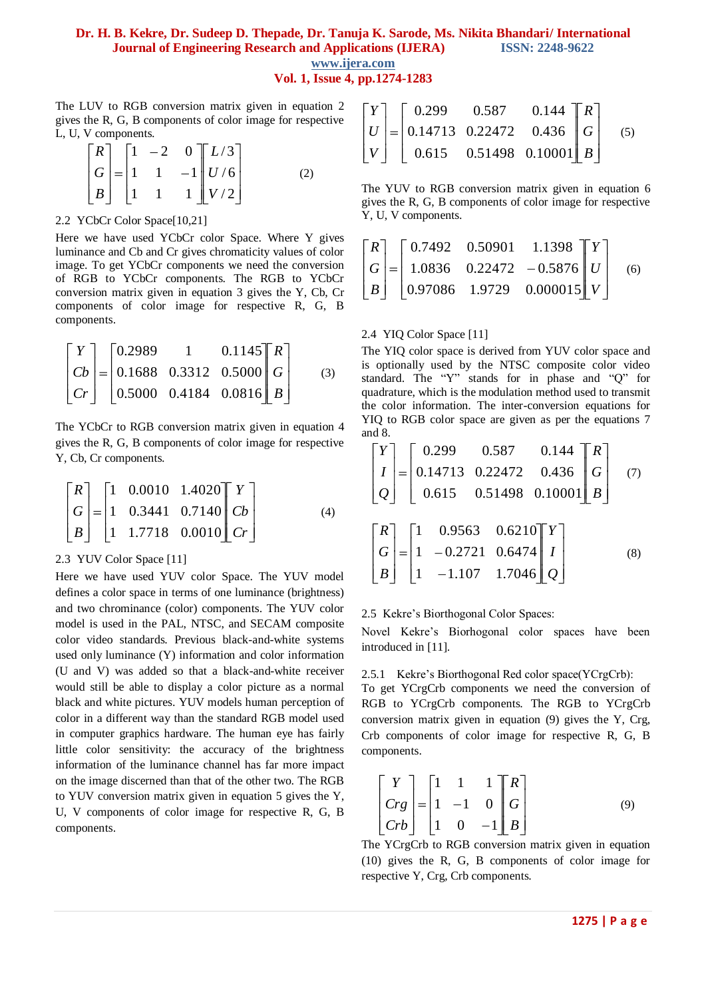**www.ijera.com Vol. 1, Issue 4, pp.1274-1283**

The LUV to RGB conversion matrix given in equation 2 gives the R, G, B components of color image for respective L, U, V components.

$$
\begin{bmatrix} R \\ G \\ B \end{bmatrix} = \begin{bmatrix} 1 & -2 & 0 \\ 1 & 1 & -1 \\ 1 & 1 & 1 \end{bmatrix} \begin{bmatrix} L/3 \\ U/6 \\ V/2 \end{bmatrix}
$$
 (2)

#### 2.2 YCbCr Color Space[10,21]

Here we have used YCbCr color Space. Where Y gives luminance and Cb and Cr gives chromaticity values of color image. To get YCbCr components we need the conversion of RGB to YCbCr components. The RGB to YCbCr conversion matrix given in equation 3 gives the Y, Cb, Cr components of color image for respective R, G, B components.

$$
\begin{bmatrix} Y \\ Cb \\ Cr \end{bmatrix} = \begin{bmatrix} 0.2989 & 1 & 0.1145 \\ 0.1688 & 0.3312 & 0.5000 \\ 0.5000 & 0.4184 & 0.0816 \end{bmatrix} \begin{bmatrix} R \\ G \\ B \end{bmatrix}
$$
(3)

The YCbCr to RGB conversion matrix given in equation 4 gives the R, G, B components of color image for respective Y, Cb, Cr components.

$$
\begin{bmatrix} R \\ G \\ B \end{bmatrix} = \begin{bmatrix} 1 & 0.0010 & 1.4020 \\ 1 & 0.3441 & 0.7140 \\ 1 & 1.7718 & 0.0010 \end{bmatrix} \begin{bmatrix} Y \\ Cb \\ Cr \end{bmatrix}
$$
 (4)

#### 2.3 YUV Color Space [11]

Here we have used YUV color Space. The YUV model defines a color space in terms of one luminance (brightness) and two chrominance (color) components. The YUV color model is used in the PAL, NTSC, and SECAM composite color video standards. Previous black-and-white systems used only luminance (Y) information and color information (U and V) was added so that a black-and-white receiver would still be able to display a color picture as a normal black and white pictures. YUV models human perception of color in a different way than the standard RGB model used in computer graphics hardware. The human eye has fairly little color sensitivity: the accuracy of the brightness information of the luminance channel has far more impact on the image discerned than that of the other two. The RGB to YUV conversion matrix given in equation 5 gives the Y, U, V components of color image for respective R, G, B components.

$$
\begin{bmatrix} Y \\ U \\ V \end{bmatrix} = \begin{bmatrix} 0.299 & 0.587 & 0.144 \\ 0.14713 & 0.22472 & 0.436 \\ 0.615 & 0.51498 & 0.10001 \end{bmatrix} \begin{bmatrix} R \\ G \\ B \end{bmatrix}
$$
 (5)

The YUV to RGB conversion matrix given in equation 6 gives the R, G, B components of color image for respective Y, U, V components.

$$
\begin{bmatrix} R \\ G \\ B \end{bmatrix} = \begin{bmatrix} 0.7492 & 0.50901 & 1.1398 \\ 1.0836 & 0.22472 & -0.5876 \\ 0.97086 & 1.9729 & 0.000015 \end{bmatrix} \begin{bmatrix} Y \\ U \\ V \end{bmatrix}
$$
 (6)

#### 2.4 YIQ Color Space [11]

The YIQ color space is derived from YUV color space and is optionally used by the NTSC composite color video standard. The "Y" stands for in phase and "Q" for quadrature, which is the modulation method used to transmit the color information. The inter-conversion equations for YIQ to RGB color space are given as per the equations 7 and 8.

$$
\begin{bmatrix} Y \ I \ Q \end{bmatrix} = \begin{bmatrix} 0.299 & 0.587 & 0.144 \ 0.14713 & 0.22472 & 0.436 \ 0.615 & 0.51498 & 0.10001 \end{bmatrix} \begin{bmatrix} R \ G \ B \end{bmatrix}
$$
(7)  

$$
\begin{bmatrix} R \ G \ B \end{bmatrix} = \begin{bmatrix} 1 & 0.9563 & 0.6210 \ 1 & -0.2721 & 0.6474 \ 1 & -1.107 & 1.7046 \end{bmatrix} \begin{bmatrix} Y \ I \ Q \end{bmatrix}
$$
(8)

#### 2.5 Kekre"s Biorthogonal Color Spaces:

Novel Kekre"s Biorhogonal color spaces have been introduced in [11].

#### 2.5.1 Kekre"s Biorthogonal Red color space(YCrgCrb):

To get YCrgCrb components we need the conversion of RGB to YCrgCrb components. The RGB to YCrgCrb conversion matrix given in equation (9) gives the Y, Crg, Crb components of color image for respective R, G, B components.

$$
\begin{bmatrix} Y \\ Crg \\ Crb \end{bmatrix} = \begin{bmatrix} 1 & 1 & 1 \\ 1 & -1 & 0 \\ 1 & 0 & -1 \end{bmatrix} \begin{bmatrix} R \\ G \\ B \end{bmatrix}
$$
 (9)

The YCrgCrb to RGB conversion matrix given in equation (10) gives the R, G, B components of color image for respective Y, Crg, Crb components.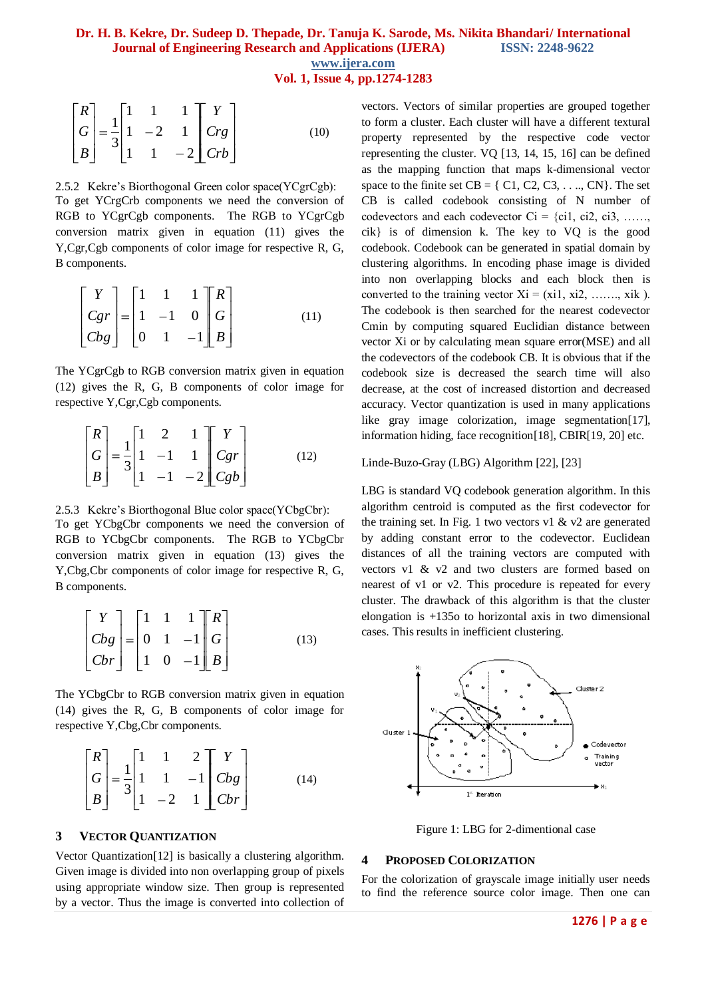**Vol. 1, Issue 4, pp.1274-1283**

$$
\begin{bmatrix} R \\ G \\ B \end{bmatrix} = \frac{1}{3} \begin{bmatrix} 1 & 1 & 1 \\ 1 & -2 & 1 \\ 1 & 1 & -2 \end{bmatrix} \begin{bmatrix} Y \\ Crg \\ Crb \end{bmatrix}
$$
 (10)

## 2.5.2 Kekre"s Biorthogonal Green color space(YCgrCgb): To get YCrgCrb components we need the conversion of RGB to YCgrCgb components. The RGB to YCgrCgb conversion matrix given in equation (11) gives the Y,Cgr,Cgb components of color image for respective R, G, B components.

$$
\begin{bmatrix} Y \\ Cgr \\ Cbg \end{bmatrix} = \begin{bmatrix} 1 & 1 & 1 \\ 1 & -1 & 0 \\ 0 & 1 & -1 \end{bmatrix} \begin{bmatrix} R \\ G \\ B \end{bmatrix}
$$
 (11)

The YCgrCgb to RGB conversion matrix given in equation (12) gives the R, G, B components of color image for respective Y,Cgr,Cgb components.

$$
\begin{bmatrix} R \\ G \\ B \end{bmatrix} = \frac{1}{3} \begin{bmatrix} 1 & 2 & 1 \\ 1 & -1 & 1 \\ 1 & -1 & -2 \end{bmatrix} \begin{bmatrix} Y \\ Cgr \\ Cgb \end{bmatrix}
$$
 (12)

# 2.5.3 Kekre"s Biorthogonal Blue color space(YCbgCbr):

To get YCbgCbr components we need the conversion of RGB to YCbgCbr components. The RGB to YCbgCbr conversion matrix given in equation (13) gives the Y,Cbg,Cbr components of color image for respective R, G, B components.

$$
\begin{bmatrix} Y \\ Cbg \\ Cbr \end{bmatrix} = \begin{bmatrix} 1 & 1 & 1 \\ 0 & 1 & -1 \\ 1 & 0 & -1 \end{bmatrix} \begin{bmatrix} R \\ G \\ B \end{bmatrix}
$$
 (13)

The YCbgCbr to RGB conversion matrix given in equation (14) gives the R, G, B components of color image for respective Y,Cbg,Cbr components.

$$
\begin{bmatrix} R \\ G \\ B \end{bmatrix} = \frac{1}{3} \begin{bmatrix} 1 & 1 & 2 \\ 1 & 1 & -1 \\ 1 & -2 & 1 \end{bmatrix} \begin{bmatrix} Y \\ Cbg \\ Cbr \end{bmatrix}
$$
 (14)

### **3 VECTOR QUANTIZATION**

Vector Quantization[12] is basically a clustering algorithm. Given image is divided into non overlapping group of pixels using appropriate window size. Then group is represented by a vector. Thus the image is converted into collection of vectors. Vectors of similar properties are grouped together to form a cluster. Each cluster will have a different textural property represented by the respective code vector representing the cluster. VQ [13, 14, 15, 16] can be defined as the mapping function that maps k-dimensional vector space to the finite set  $CB = \{ C1, C2, C3, \ldots, CN \}$ . The set CB is called codebook consisting of N number of codevectors and each codevector  $Ci = \{ci1, ci2, ci3, \ldots\}$ cik} is of dimension k. The key to VQ is the good codebook. Codebook can be generated in spatial domain by clustering algorithms. In encoding phase image is divided into non overlapping blocks and each block then is converted to the training vector  $Xi = (x_i 1, x_i 2, \ldots, x_i k)$ . The codebook is then searched for the nearest codevector Cmin by computing squared Euclidian distance between vector Xi or by calculating mean square error(MSE) and all the codevectors of the codebook CB. It is obvious that if the codebook size is decreased the search time will also decrease, at the cost of increased distortion and decreased accuracy. Vector quantization is used in many applications like gray image colorization, image segmentation[17], information hiding, face recognition[18], CBIR[19, 20] etc.

Linde-Buzo-Gray (LBG) Algorithm [22], [23]

LBG is standard VQ codebook generation algorithm. In this algorithm centroid is computed as the first codevector for the training set. In Fig. 1 two vectors v1  $\&$  v2 are generated by adding constant error to the codevector. Euclidean distances of all the training vectors are computed with vectors v1 & v2 and two clusters are formed based on nearest of v1 or v2. This procedure is repeated for every cluster. The drawback of this algorithm is that the cluster elongation is +135o to horizontal axis in two dimensional cases. This results in inefficient clustering.



Figure 1: LBG for 2-dimentional case

#### **4 PROPOSED COLORIZATION**

For the colorization of grayscale image initially user needs to find the reference source color image. Then one can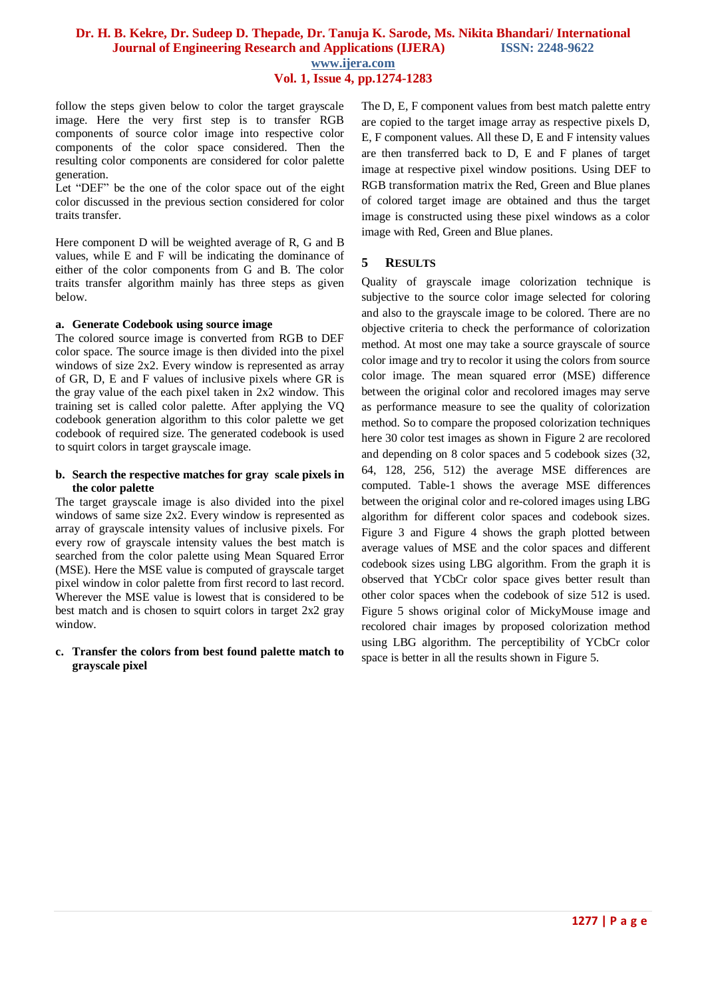**Vol. 1, Issue 4, pp.1274-1283**

follow the steps given below to color the target grayscale image. Here the very first step is to transfer RGB components of source color image into respective color components of the color space considered. Then the resulting color components are considered for color palette generation.

Let "DEF" be the one of the color space out of the eight color discussed in the previous section considered for color traits transfer.

Here component D will be weighted average of R, G and B values, while E and F will be indicating the dominance of either of the color components from G and B. The color traits transfer algorithm mainly has three steps as given below.

#### **a. Generate Codebook using source image**

The colored source image is converted from RGB to DEF color space. The source image is then divided into the pixel windows of size 2x2. Every window is represented as array of GR, D, E and F values of inclusive pixels where GR is the gray value of the each pixel taken in 2x2 window. This training set is called color palette. After applying the VQ codebook generation algorithm to this color palette we get codebook of required size. The generated codebook is used to squirt colors in target grayscale image.

#### **b. Search the respective matches for gray scale pixels in the color palette**

The target grayscale image is also divided into the pixel windows of same size 2x2. Every window is represented as array of grayscale intensity values of inclusive pixels. For every row of grayscale intensity values the best match is searched from the color palette using Mean Squared Error (MSE). Here the MSE value is computed of grayscale target pixel window in color palette from first record to last record. Wherever the MSE value is lowest that is considered to be best match and is chosen to squirt colors in target 2x2 gray window.

#### **c. Transfer the colors from best found palette match to grayscale pixel**

The D, E, F component values from best match palette entry are copied to the target image array as respective pixels D, E, F component values. All these D, E and F intensity values are then transferred back to D, E and F planes of target image at respective pixel window positions. Using DEF to RGB transformation matrix the Red, Green and Blue planes of colored target image are obtained and thus the target image is constructed using these pixel windows as a color image with Red, Green and Blue planes.

## **5 RESULTS**

Quality of grayscale image colorization technique is subjective to the source color image selected for coloring and also to the grayscale image to be colored. There are no objective criteria to check the performance of colorization method. At most one may take a source grayscale of source color image and try to recolor it using the colors from source color image. The mean squared error (MSE) difference between the original color and recolored images may serve as performance measure to see the quality of colorization method. So to compare the proposed colorization techniques here 30 color test images as shown in Figure 2 are recolored and depending on 8 color spaces and 5 codebook sizes (32, 64, 128, 256, 512) the average MSE differences are computed. Table-1 shows the average MSE differences between the original color and re-colored images using LBG algorithm for different color spaces and codebook sizes. Figure 3 and Figure 4 shows the graph plotted between average values of MSE and the color spaces and different codebook sizes using LBG algorithm. From the graph it is observed that YCbCr color space gives better result than other color spaces when the codebook of size 512 is used. Figure 5 shows original color of MickyMouse image and recolored chair images by proposed colorization method using LBG algorithm. The perceptibility of YCbCr color space is better in all the results shown in Figure 5.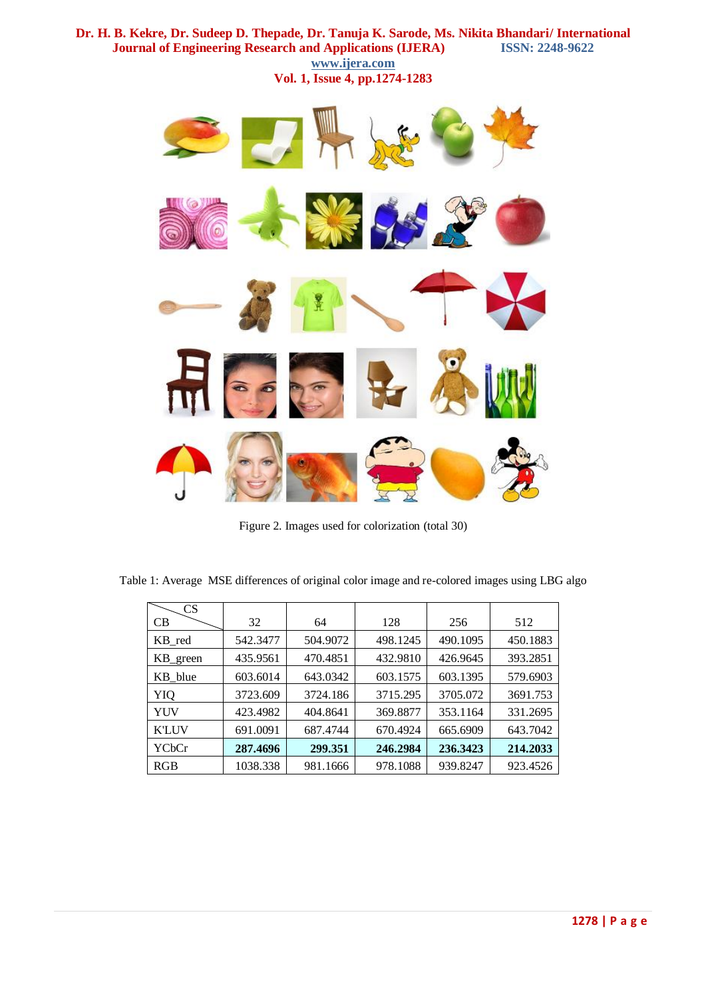**Dr. H. B. Kekre, Dr. Sudeep D. Thepade, Dr. Tanuja K. Sarode, Ms. Nikita Bhandari/ International Journal of Engineering Research and Applications (IJERA) ISSN: 2248-9622 www.ijera.com Vol. 1, Issue 4, pp.1274-1283**



Figure 2. Images used for colorization (total 30)

| $\mathbf{C}\mathbf{S}$ |          |          |          |          |          |
|------------------------|----------|----------|----------|----------|----------|
| CВ                     | 32       | 64       | 128      | 256      | 512      |
| KB red                 | 542.3477 | 504.9072 | 498.1245 | 490.1095 | 450.1883 |
| KB_green               | 435.9561 | 470.4851 | 432.9810 | 426.9645 | 393.2851 |
| KB blue                | 603.6014 | 643.0342 | 603.1575 | 603.1395 | 579.6903 |
| YIQ                    | 3723.609 | 3724.186 | 3715.295 | 3705.072 | 3691.753 |
| YUV                    | 423.4982 | 404.8641 | 369.8877 | 353.1164 | 331.2695 |
| <b>K'LUV</b>           | 691.0091 | 687.4744 | 670.4924 | 665.6909 | 643.7042 |
| YCbCr                  | 287.4696 | 299.351  | 246.2984 | 236.3423 | 214.2033 |
| RGB                    | 1038.338 | 981.1666 | 978.1088 | 939.8247 | 923.4526 |

Table 1: Average MSE differences of original color image and re-colored images using LBG algo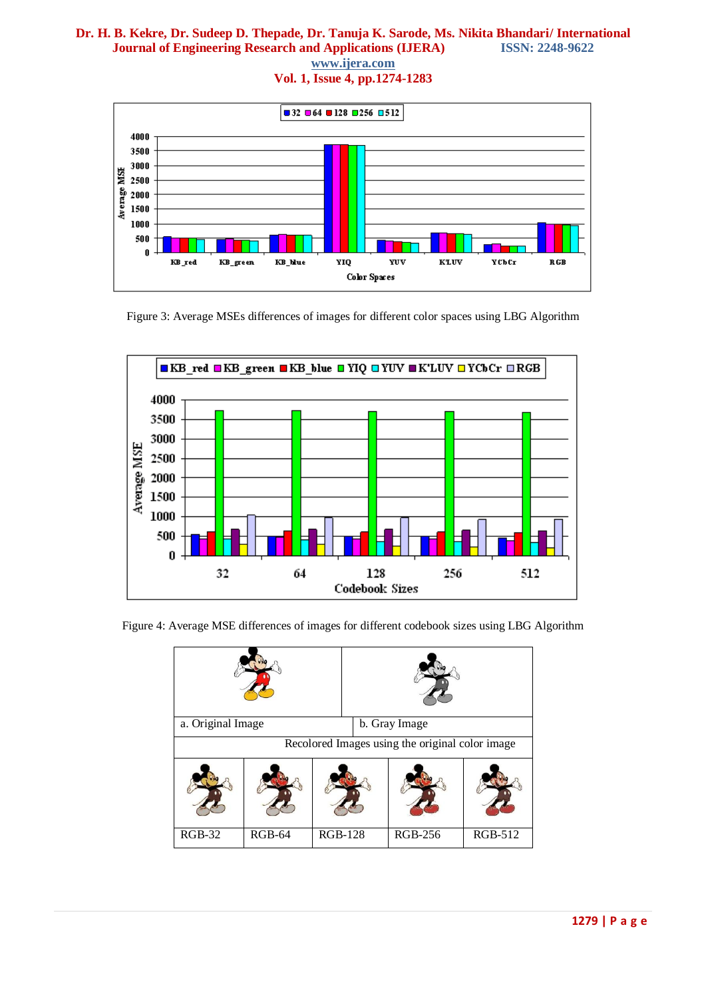**www.ijera.com**

**Vol. 1, Issue 4, pp.1274-1283**



Figure 3: Average MSEs differences of images for different color spaces using LBG Algorithm





| a. Original Image                               |          |                | b. Gray Image |                |                |  |  |
|-------------------------------------------------|----------|----------------|---------------|----------------|----------------|--|--|
| Recolored Images using the original color image |          |                |               |                |                |  |  |
|                                                 |          |                |               |                |                |  |  |
| $RGB-32$                                        | $RGB-64$ | <b>RGB-128</b> |               | <b>RGB-256</b> | <b>RGB-512</b> |  |  |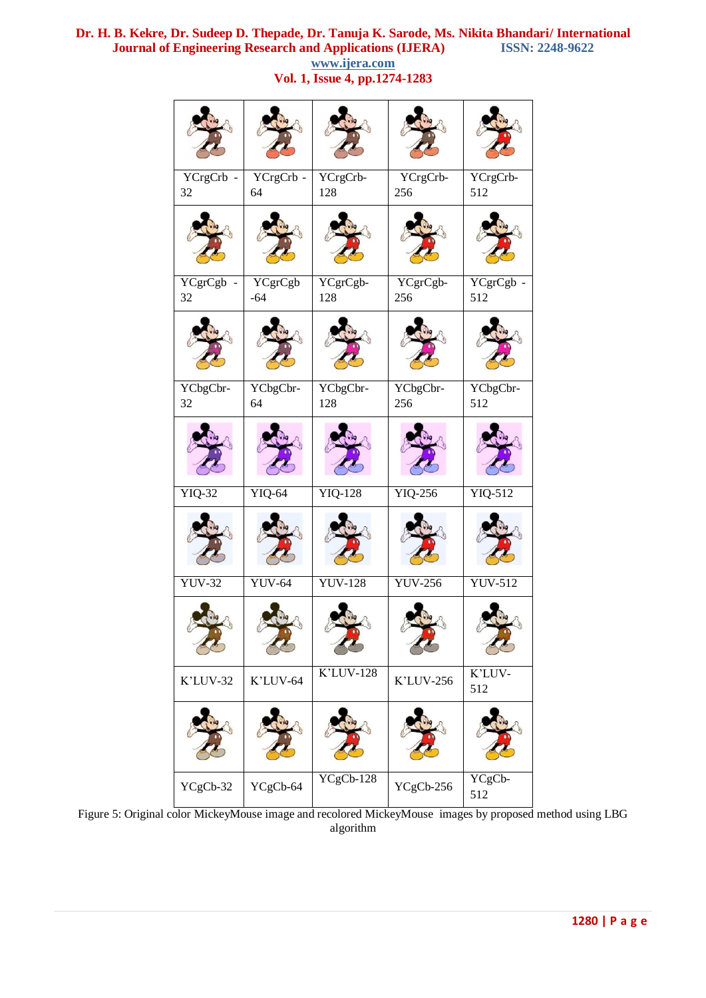YCrgCrb - 32 YCrgCrb - 64 YCrgCrb-128 YCrgCrb-256 YCrgCrb-512 YCgrCgb - 32 YCgrCgb -64 YCgrCgb-128 YCgrCgb-256 YCgrCgb - 512 YCbgCbr-32 YCbgCbr-64 YCbgCbr-128 YCbgCbr-256 YCbgCbr-512 YIQ-32 YIQ-64 YIQ-128 YIQ-256 YIQ-512 YUV-32 YUV-64 YUV-128 YUV-256 YUV-512  $K'$ LUV-32 K'LUV-64 K'LUV-128 K'LUV-256 K'LUV-512  $YCgCb-32 \Big| YCgCb-64 \Big| YCgCb-128 \Big| YCgCb-256 \Big| YCgCb-256 \Big| YCgCb-256 \Big| YCgCb-256 \Big| YCgCb-256 \Big| YCgCb-256 \Big| YCgCb-256 \Big| YCgCb-256 \Big| YCgCb-256 \Big| YCgCb-256 \Big| YCgCb-256 \Big| YCgCb-256 \Big| YCgCb-256 \Big| YCgCb-256 \Big| YCgcb-256 \Big| YCgcb-256 \Big| YCgcb-256 \Big| YC$ 512

**www.ijera.com Vol. 1, Issue 4, pp.1274-1283**

Figure 5: Original color MickeyMouse image and recolored MickeyMouse images by proposed method using LBG algorithm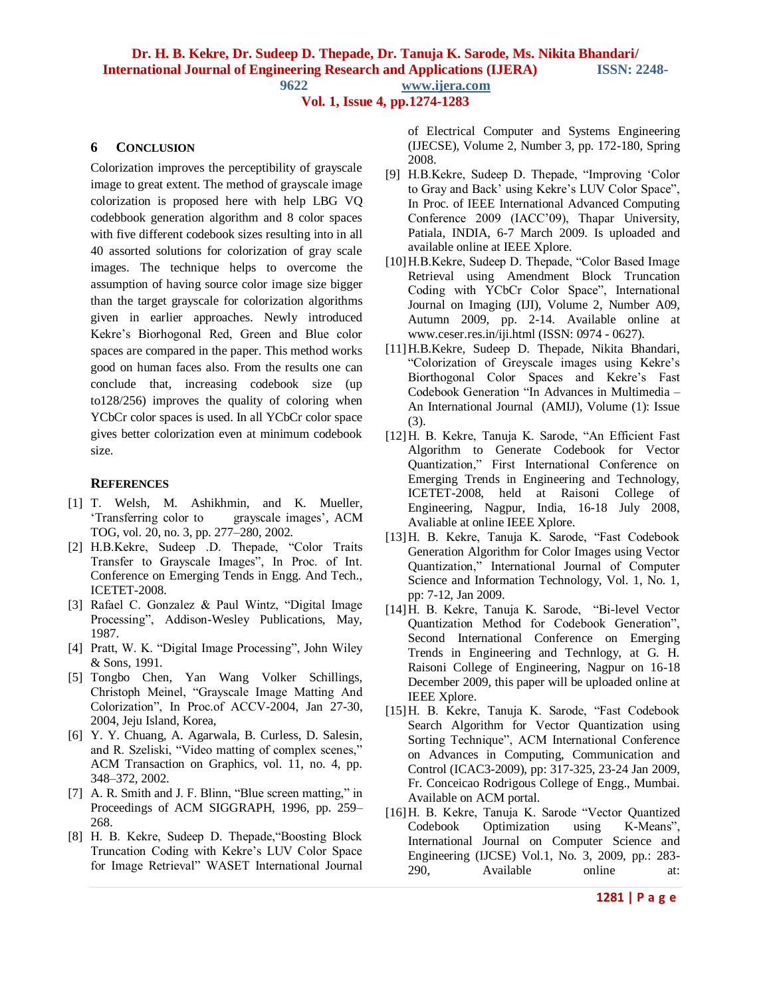**9622 www.ijera.com**

## **Vol. 1, Issue 4, pp.1274-1283**

#### **6 CONCLUSION**

Colorization improves the perceptibility of grayscale image to great extent. The method of grayscale image colorization is proposed here with help LBG VQ codebbook generation algorithm and 8 color spaces with five different codebook sizes resulting into in all 40 assorted solutions for colorization of gray scale images. The technique helps to overcome the assumption of having source color image size bigger than the target grayscale for colorization algorithms given in earlier approaches. Newly introduced Kekre"s Biorhogonal Red, Green and Blue color spaces are compared in the paper. This method works good on human faces also. From the results one can conclude that, increasing codebook size (up to128/256) improves the quality of coloring when YCbCr color spaces is used. In all YCbCr color space gives better colorization even at minimum codebook size.

#### **REFERENCES**

- [1] T. Welsh, M. Ashikhmin, and K. Mueller, "Transferring color to grayscale images", ACM TOG, vol. 20, no. 3, pp. 277–280, 2002.
- [2] H.B.Kekre, Sudeep .D. Thepade, "Color Traits Transfer to Grayscale Images", In Proc. of Int. Conference on Emerging Tends in Engg. And Tech., ICETET-2008.
- [3] Rafael C. Gonzalez & Paul Wintz, "Digital Image Processing", Addison-Wesley Publications, May, 1987.
- [4] Pratt, W. K. "Digital Image Processing", John Wiley & Sons, 1991.
- [5] Tongbo Chen, Yan Wang Volker Schillings, Christoph Meinel, "Grayscale Image Matting And Colorization", In Proc.of ACCV-2004, Jan 27-30, 2004, Jeju Island, Korea,
- [6] Y. Y. Chuang, A. Agarwala, B. Curless, D. Salesin, and R. Szeliski, "Video matting of complex scenes," ACM Transaction on Graphics, vol. 11, no. 4, pp. 348–372, 2002.
- [7] A. R. Smith and J. F. Blinn, "Blue screen matting," in Proceedings of ACM SIGGRAPH, 1996, pp. 259– 268.
- [8] H. B. Kekre, Sudeep D. Thepade,"Boosting Block Truncation Coding with Kekre"s LUV Color Space for Image Retrieval" WASET International Journal

of Electrical Computer and Systems Engineering (IJECSE), Volume 2, Number 3, pp. 172-180, Spring 2008.

- [9] H.B.Kekre, Sudeep D. Thepade, "Improving "Color to Gray and Back" using Kekre"s LUV Color Space", In Proc. of IEEE International Advanced Computing Conference 2009 (IACC"09), Thapar University, Patiala, INDIA, 6-7 March 2009. Is uploaded and available online at IEEE Xplore.
- [10] H.B.Kekre, Sudeep D. Thepade, "Color Based Image Retrieval using Amendment Block Truncation Coding with YCbCr Color Space", International Journal on Imaging (IJI), Volume 2, Number A09, Autumn 2009, pp. 2-14. Available online at www.ceser.res.in/iji.html (ISSN: 0974 - 0627).
- [11]H.B.Kekre, Sudeep D. Thepade, Nikita Bhandari, "Colorization of Greyscale images using Kekre"s Biorthogonal Color Spaces and Kekre's Fast Codebook Generation "In Advances in Multimedia – An International Journal (AMIJ), Volume (1): Issue (3).
- [12]H. B. Kekre, Tanuja K. Sarode, "An Efficient Fast Algorithm to Generate Codebook for Vector Quantization," First International Conference on Emerging Trends in Engineering and Technology, ICETET-2008, held at Raisoni College of Engineering, Nagpur, India, 16-18 July 2008, Avaliable at online IEEE Xplore.
- [13]H. B. Kekre, Tanuja K. Sarode, "Fast Codebook Generation Algorithm for Color Images using Vector Quantization," International Journal of Computer Science and Information Technology, Vol. 1, No. 1, pp: 7-12, Jan 2009.
- [14]H. B. Kekre, Tanuja K. Sarode, "Bi-level Vector Quantization Method for Codebook Generation", Second International Conference on Emerging Trends in Engineering and Technlogy, at G. H. Raisoni College of Engineering, Nagpur on 16-18 December 2009, this paper will be uploaded online at IEEE Xplore.
- [15]H. B. Kekre, Tanuja K. Sarode, "Fast Codebook Search Algorithm for Vector Quantization using Sorting Technique", ACM International Conference on Advances in Computing, Communication and Control (ICAC3-2009), pp: 317-325, 23-24 Jan 2009, Fr. Conceicao Rodrigous College of Engg., Mumbai. Available on ACM portal.
- [16]H. B. Kekre, Tanuja K. Sarode "Vector Quantized Codebook Optimization using K-Means", International Journal on Computer Science and Engineering (IJCSE) Vol.1, No. 3, 2009, pp.: 283- 290, Available online at: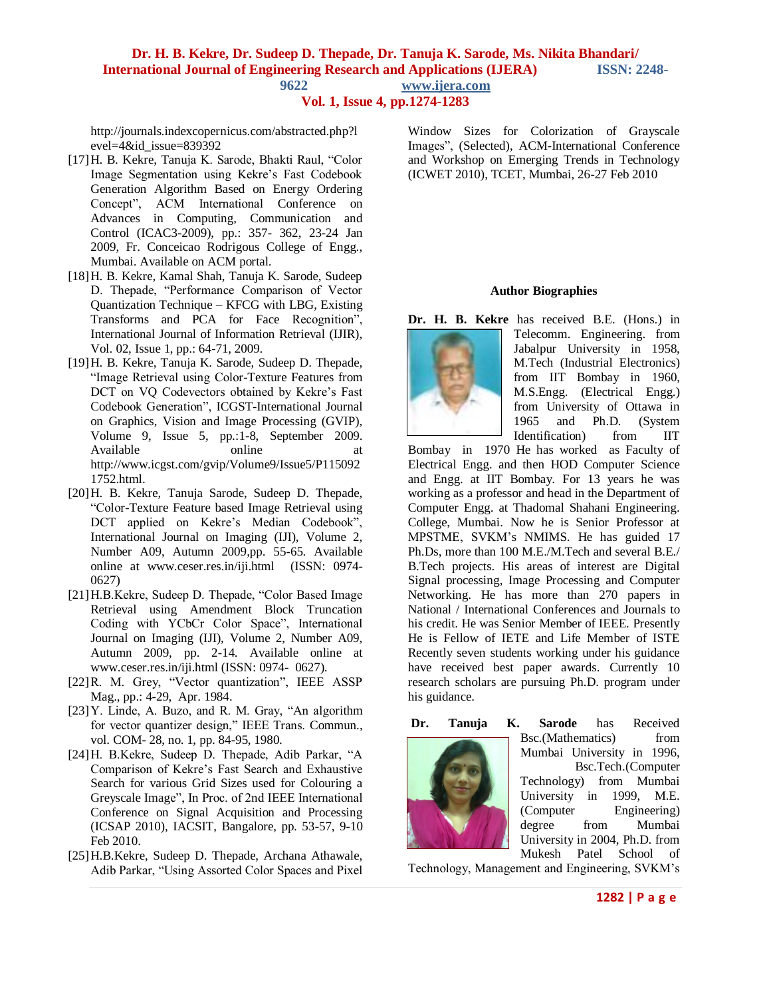**9622 www.ijera.com**

### **Vol. 1, Issue 4, pp.1274-1283**

http://journals.indexcopernicus.com/abstracted.php?l evel=4&id\_issue=839392

- [17]H. B. Kekre, Tanuja K. Sarode, Bhakti Raul, "Color Image Segmentation using Kekre"s Fast Codebook Generation Algorithm Based on Energy Ordering Concept", ACM International Conference on Advances in Computing, Communication and Control (ICAC3-2009), pp.: 357- 362, 23-24 Jan 2009, Fr. Conceicao Rodrigous College of Engg., Mumbai. Available on ACM portal.
- [18]H. B. Kekre, Kamal Shah, Tanuja K. Sarode, Sudeep D. Thepade, "Performance Comparison of Vector Quantization Technique – KFCG with LBG, Existing Transforms and PCA for Face Recognition", International Journal of Information Retrieval (IJIR), Vol. 02, Issue 1, pp.: 64-71, 2009.
- [19]H. B. Kekre, Tanuja K. Sarode, Sudeep D. Thepade, "Image Retrieval using Color-Texture Features from DCT on VQ Codevectors obtained by Kekre's Fast Codebook Generation", ICGST-International Journal on Graphics, Vision and Image Processing (GVIP), Volume 9, Issue 5, pp.:1-8, September 2009.<br>Available online at Available online at [http://www.icgst.com/gvip/Volume9/Issue5/P115092](http://www.icgst.com/gvip/Volume9/Issue5/P1150921752.html) [1752.html.](http://www.icgst.com/gvip/Volume9/Issue5/P1150921752.html)
- [20]H. B. Kekre, Tanuja Sarode, Sudeep D. Thepade, "Color-Texture Feature based Image Retrieval using DCT applied on Kekre's Median Codebook", International Journal on Imaging (IJI), Volume 2, Number A09, Autumn 2009,pp. 55-65. Available online at [www.ceser.res.in/iji.html](http://www.ceser.res.in/iji.html) (ISSN: 0974- 0627)
- [21]H.B.Kekre, Sudeep D. Thepade, "Color Based Image Retrieval using Amendment Block Truncation Coding with YCbCr Color Space", International Journal on Imaging (IJI), Volume 2, Number A09, Autumn 2009, pp. 2-14. Available online at www.ceser.res.in/iji.html (ISSN: 0974- 0627).
- [22]R. M. Grey, "Vector quantization", IEEE ASSP Mag., pp.: 4-29, Apr. 1984.
- [23]Y. Linde, A. Buzo, and R. M. Gray, "An algorithm for vector quantizer design," IEEE Trans. Commun., vol. COM- 28, no. 1, pp. 84-95, 1980.
- [24]H. B.Kekre, Sudeep D. Thepade, Adib Parkar, "A Comparison of Kekre"s Fast Search and Exhaustive Search for various Grid Sizes used for Colouring a Greyscale Image", In Proc. of 2nd IEEE International Conference on Signal Acquisition and Processing (ICSAP 2010), IACSIT, Bangalore, pp. 53-57, 9-10 Feb 2010.
- [25]H.B.Kekre, Sudeep D. Thepade, Archana Athawale, Adib Parkar, "Using Assorted Color Spaces and Pixel

Window Sizes for Colorization of Grayscale Images", (Selected), ACM-International Conference and Workshop on Emerging Trends in Technology (ICWET 2010), TCET, Mumbai, 26-27 Feb 2010

#### **Author Biographies**

**Dr. H. B. Kekre** has received B.E. (Hons.) in



Telecomm. Engineering. from Jabalpur University in 1958, M.Tech (Industrial Electronics) from IIT Bombay in 1960, M.S.Engg. (Electrical Engg.) from University of Ottawa in 1965 and Ph.D. (System Identification) from IIT

Bombay in 1970 He has worked as Faculty of Electrical Engg. and then HOD Computer Science and Engg. at IIT Bombay. For 13 years he was working as a professor and head in the Department of Computer Engg. at Thadomal Shahani Engineering. College, Mumbai. Now he is Senior Professor at MPSTME, SVKM"s NMIMS. He has guided 17 Ph.Ds, more than 100 M.E./M.Tech and several B.E./ B.Tech projects. His areas of interest are Digital Signal processing, Image Processing and Computer Networking. He has more than 270 papers in National / International Conferences and Journals to his credit. He was Senior Member of IEEE. Presently He is Fellow of IETE and Life Member of ISTE Recently seven students working under his guidance have received best paper awards. Currently 10 research scholars are pursuing Ph.D. program under his guidance.



**Dr. Tanuja K. Sarode** has Received Bsc.(Mathematics) from Mumbai University in 1996, Bsc.Tech.(Computer Technology) from Mumbai University in 1999, M.E. (Computer Engineering) degree from Mumbai University in 2004, Ph.D. from Mukesh Patel School of

Technology, Management and Engineering, SVKM"s